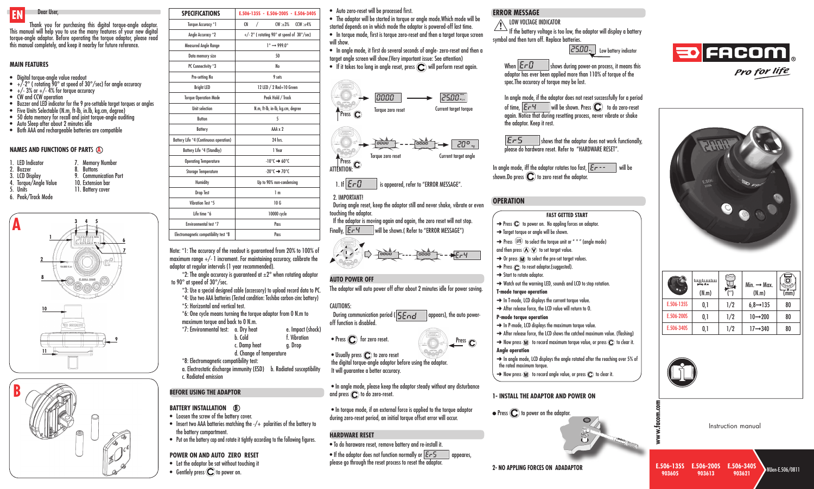#### **EN** Dear IIser

Thank you for purchasing this digital torque-angle adaptor. This manual will help you to use the many features of your new digital torque-angle adaptor. Before operating the torque adaptor, please read this manual completely, and keep it nearby for future reference.

#### **MAIN FEATURES**

- Digital torque-angle value readout
- $+/-2^{\circ}$  ( rotating 90 $^{\circ}$  at speed of 30 $^{\circ}$ /sec) for angle accuracy
- $+/-3\%$  or  $+/-4\%$  for torque accuracy
- CW and CCW operation
- Buzzer and LED indicator for the 9 pre-settable target torques or angles
- Five Units Selectable (N.m, ft-lb, in.lb, kg.cm, degree)
- 50 data memory for recall and joint torque-angle auditing
- Auto Sleep after about 2 minutes idle
- Both AAA and rechargeable batteries are compatible

#### **NAMES AND FUNCTIONS OF PART**S **A**

1. LED Indicator 7. Memory Number<br>2. Buzzer 8. Buttons 2. Buzzer 8. Buttons 9. Communication Port 4. Torque/Angle Value 11. Battery cover 6. Peak/Track Mode





| <b>SPECIFICATIONS</b>                  | E.506-135S - E.506-200S - E.506-340S                                                  |  |  |
|----------------------------------------|---------------------------------------------------------------------------------------|--|--|
| <b>Torque Accuracy *1</b>              | $CCW : +4\%$<br>CN.<br>$CW: \pm 3\%$<br>7                                             |  |  |
| Angle Accuracy *2                      | +/- 2° (rotating 90° at speed of $30^{\circ}/sec$ )                                   |  |  |
| Measured Angle Range                   | $1^\circ \rightarrow 999.0^\circ$                                                     |  |  |
| Data memory size                       | 50                                                                                    |  |  |
| PC Connectivity *3                     | No                                                                                    |  |  |
| Pre-setting No                         | 9 sets                                                                                |  |  |
| <b>Bright LED</b>                      | 12 LED / 2 Red+10 Green<br>Peak Hold / Track<br>N.m, ft-lb, in-lb, kg.cm, degree<br>5 |  |  |
| <b>Torque Operation Mode</b>           |                                                                                       |  |  |
| Unit selection                         |                                                                                       |  |  |
| <b>Button</b>                          |                                                                                       |  |  |
| Battery                                | $AAA \times 2$                                                                        |  |  |
| Battery Life *4 (Continuous operation) | 24 hrs.                                                                               |  |  |
| Battery Life *4 (Standby)              | 1 Year                                                                                |  |  |
| <b>Operating Temperature</b>           | $-10^{\circ}$ C $\rightarrow 60^{\circ}$ C                                            |  |  |
| <b>Storage Temperature</b>             | $-20^{\circ}$ C $\rightarrow 70^{\circ}$ C                                            |  |  |
| <b>Humidity</b>                        | Up to 90% non-condensing                                                              |  |  |
| <b>Drop Test</b>                       | 1 <sub>m</sub>                                                                        |  |  |
| Vibration Test *5                      | 10G                                                                                   |  |  |
| Life time *6                           | 10000 cycle                                                                           |  |  |
| Environmental test *7                  | Pass                                                                                  |  |  |
| Electromagnetic compatibility test *8  | Pass                                                                                  |  |  |

Note: \*1: The accuracy of the readout is guaranteed from 20% to 100% of maximum range  $+/-$  1 increment. For maintaining accuracy, calibrate the adaptor at regular intervals (1 year recommended).

 $*2$ : The angle accuracy is guaranteed at  $\pm 2^{\circ}$  when rotating adaptor to 90° at speed of 30°/sec.

\*3: Use a special designed cable (accessory) to upload record data to PC. \*4: Use two AAA batteries (Tested condition: Toshiba carbon-zinc battery) \*5: Horizontal and vertical test.

\*6: One cycle means turning the torque adaptor from 0 N.m to maximum torque and back to 0 N.m.

- $*7:$  Environmental test: a. Dry heat e. Impact (shock)<br>
b. Cold e. In F. Vihration f. Vibration<br>a. Drop c. Damp heat
- d. Change of temperature \*8: Electromagnetic compatibility test:
- a. Electrostatic discharge immunity (ESD) b. Radiated susceptibility c. Radiated emission

#### **BEFORE USING THE ADAPTOR**

- **BATTERY INSTALLATION (B)**
- Loosen the screw of the battery cover. • Insert two AAA batteries matching the  $-/-$  polarities of the battery to the battery compartment.
- Put on the battery cap and rotate it tightly according to the following figures.

#### **POWER ON AND AUTO ZERO RESET**

- Let the adaptor be sat without touching it
- Gentlely press  $\mathbb{C}$  to power on.

• Auto zero-reset will be processed first.

• The adaptor will be started in torque or angle mode.Which mode will be started depends on in which mode the adaptor is powered-off last time.  $\bullet$  In torque mode, first is torque zero-reset and then a target torque screen

- will show
	- In angle mode, it first do several seconds of angle- zero-reset and then a target angle screen will show.(Very important issue: See attention)
	- $\bullet$  If it takes too long in angle reset, press  $\bigodot$  will perform reset again.







#### 2. IMPORTANT!

During angle reset, keep the adaptor still and never shake, vibrate or even touching the adaptor.

If the adaptor is moving again and again, the zero reset will not stop. Finally,  $E_F Y$  will be shown. (Refer to "ERROR MESSAGE")

$$
L_{\text{1}} = \frac{1}{2}
$$

#### **AUTO POWER OFF**

The adaptor will auto power off after about 2 minutes idle for power saving.

#### CAUTIONS:

During communication period ( $5.5 \text{cm}$  appears), the auto poweroff function is disabled.

• Press  $\bigodot$  for zero reset.

and press  $\bigodot$  to do zero-reset.

• In torque mode, if an external force is applied to the torque adaptor during zero-reset period, an initial torque offset error will occur.

#### **HARDWARE RESET**

• To do haraware reset, remove battery and re-install it.

• If the adaptor does not function normally or  $E-5$  appeares, please go through the reset process to reset the adaptor.

#### **ERROR MESSAGE**

#### LOW VOLTAGE INDICATOR

 $\overline{\phantom{a}}$  If the battery voltage is too low, the adaptor will display a battery symbol and then turn off. Replace batteries.

spec.The accuracy of torque may be lost.

the adaptor. Keep it rest.

shown. Do press  $\bigodot$  to zero reset the adaptor.

 $\rightarrow$  Press  $\mathbb C$  to power on. No appling forces on adaptor.

 $\rightarrow$  Press  $\widehat{(US)}$  to select the torque unit or "  $\circ$  " (angle mode)

**→** Watch out the warning LED, sounds and LCD to stop rotation.

 $\rightarrow$  In T-mode, LCD displays the current torque value.  $\rightarrow$  After release force, the LCD value will return to 0.

 $\rightarrow$  In P-mode, LCD displays the maximum torque value.

 $\rightarrow$  After release force, the LCD shows the catched maximum value. (flashing)  $\rightarrow$  Now press (M) to record maximum torque value, or press (C) to clear it.

→ In angle mode, LCD displays the angle rotated after the reaching over 5% of

 $\bigcap$ 

 $\rightarrow$  Now press (M) to record angle value, or press (C) to clear it.

**1- INSTALL THE ADAPTOR AND POWER ON**

 $\bullet$  Press  $\bigodot$  to power on the adaptor.

 $\rightarrow$  Target torque or angle will be shown.

and then press  $\textcircled{R}(\textcircled{v})$  to set target value.  $\rightarrow$  Or press ( $\widehat{M}$ ) to select the pre-set target values.  $\rightarrow$  Press  $\odot$  to reset adaptor.(suggested).

**→** Start to rotate adaptor.

**T-mode torque operation**

**P-mode torque operation**

the rated maximum torque.

**Angle operation**

**OPERATION**

 $E-5$ 

When  $\mathcal{E}\text{-}\mathcal{G}$  shows during power-on process, it means this adaptor has ever been applied more than 110% of torque of the

In angle mode, if the adaptor does not reset successfully for a period of time,  $\boxed{E}r^{H}$  will be shown. Press  $\bigodot$  to do zero-reset again. Notice that during resetting process, never vibrate or shake

please do hardware reset. Refer to "HARDWARE RESET"

In angle mode, iff the adaptor rotates too fast,  $\boxed{F_{\tau}}$  -  $\rightarrow$  will be

**FAST GETTED START**

shows that the adaptor does not work functionally.

**Example 2** Low battery indicator



**Pro for life** 



|            | $\begin{array}{c} \hline \text{display} \\ \text{blue} \\ \text{blue} \end{array}$<br>(N.m) |     | $Min. \rightarrow Max.$<br>(N.m) | mm |  |
|------------|---------------------------------------------------------------------------------------------|-----|----------------------------------|----|--|
| E.506-135S | 0,1                                                                                         | 1/2 | $6,8 \rightarrow 135$            | 80 |  |
| E.506-200S | 0,1                                                                                         | 1/2 | $10 - 200$                       | 80 |  |
| E.506-340S | 0,1                                                                                         | 1/2 | $17 \rightarrow 340$             | 80 |  |



**www.facom.com**

www.tacom.coi



NUen-E.506/0811 **E.506-200S E.506-340S E.506-135S 903613 903621 903605**





 $\bullet$  Usually press  $\bigodot$  to zero reset the digital torque-angle adaptor before using the adaptor. It will guarantee a better accuracy.

• In angle mode, please keep the adaptor steady without any disturbance

**2- NO APPLING FORCES ON ADADAPTOR**